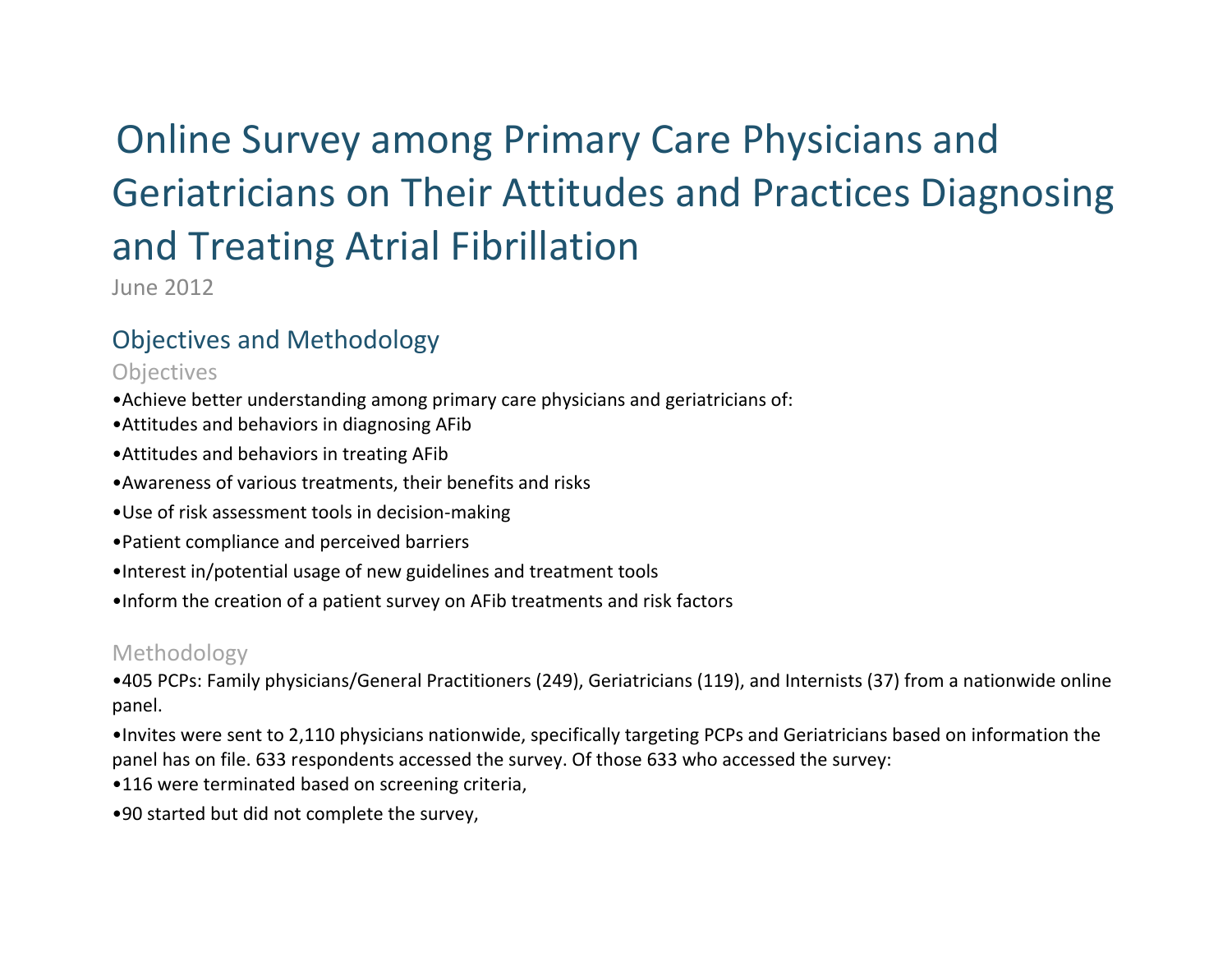# Online Survey among Primary Care Physicians and Geriatricians on Their Attitudes and Practices Diagnosing and Treating Atrial Fibrillation

June 2012

# Objectives and Methodology

**Objectives** 

- •Achieve better understanding among primary care physicians and geriatricians of:
- •Attitudes and behaviors in diagnosing AFib
- •Attitudes and behaviors in treating AFib
- •Awareness of various treatments, their benefits and risks
- •Use of risk assessment tools in decision-making
- •Patient compliance and perceived barriers
- •Interest in/potential usage of new guidelines and treatment tools
- •Inform the creation of a patient survey on AFib treatments and risk factors

## Methodology

•405 PCPs: Family physicians/General Practitioners (249), Geriatricians (119), and Internists (37) from a nationwide online panel.

•Invites were sent to 2,110 physicians nationwide, specifically targeting PCPs and Geriatricians based on information the panel has on file. 633 respondents accessed the survey. Of those 633 who accessed the survey:

- •116 were terminated based on screening criteria,
- •90 started but did not complete the survey,